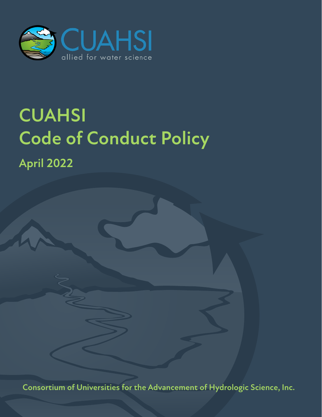

# **CUAHSI Code of Conduct Policy**

**April 2022**

**Consortium of Universities for the Advancement of Hydrologic Science, Inc.**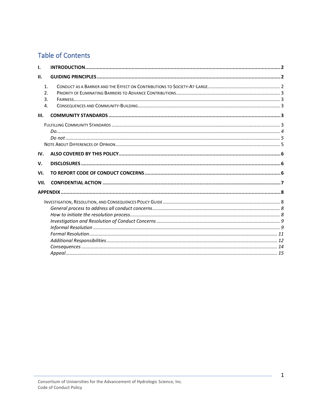## **Table of Contents**

| $\mathbf{1}$<br>$\mathfrak{D}$ .<br>3. |    |
|----------------------------------------|----|
|                                        |    |
|                                        |    |
|                                        |    |
|                                        |    |
|                                        |    |
|                                        |    |
|                                        |    |
|                                        |    |
|                                        | 4. |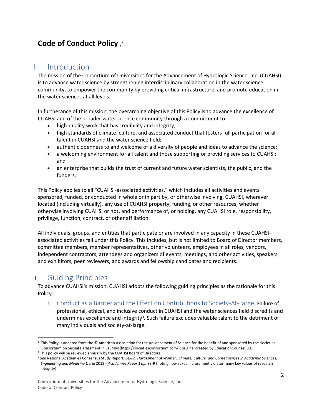# Code of Conduct Policy<sup>1</sup>,<sup>2</sup>

## <span id="page-2-0"></span>I. Introduction

The mission of the Consortium of Universities for the Advancement of Hydrologic Science, Inc. (CUAHSI) is to advance water science by strengthening interdisciplinary collaboration in the water science community, to empower the community by providing critical infrastructure, and promote education in the water sciences at all levels.

In furtherance of this mission, the overarching objective of this Policy is to advance the excellence of CUAHSI and of the broader water science community through a commitment to:

- high-quality work that has credibility and integrity;
- high standards of climate, culture, and associated conduct that fosters full participation for all talent in CUAHSI and the water science field;
- authentic openness to and welcome of a diversity of people and ideas to advance the science;
- a welcoming environment for all talent and those supporting or providing services to CUAHSI; and
- an enterprise that builds the trust of current and future water scientists, the public, and the funders.

This Policy applies to all "CUAHSI-associated activities," which includes all activities and events sponsored, funded, or conducted in whole or in part by, or otherwise involving, CUAHSI, wherever located (including virtually), any use of CUAHSI property, funding, or other resources, whether otherwise involving CUAHSI or not, and performance of, or holding, any CUAHSI role, responsibility, privilege, function, contract, or other affiliation.

All individuals, groups, and entities that participate or are involved in any capacity in these CUAHSIassociated activities fall under this Policy. This includes, but is not limited to Board of Director members, committee members, member representatives, other volunteers, employees in all roles, vendors, independent contractors, attendees and organizers of events, meetings, and other activities, speakers, and exhibitors, peer reviewers, and awards and fellowship candidates and recipients.

## <span id="page-2-1"></span>II. Guiding Principles

To advance CUAHSI's mission, CUAHSI adopts the following guiding principles as the rationale for this Policy:

<span id="page-2-2"></span>1. Conduct as a Barrier and the Effect on Contributions to Society-At-Large**.** Failure of professional, ethical, and inclusive conduct in CUAHSI and the water sciences field discredits and undermines excellence and integrity<sup>3</sup>. Such failure excludes valuable talent to the detriment of many individuals and society-at-large.

 $1$  This Policy is adapted from the  $\odot$  American Association for the Advancement of Science for the benefit of and sponsored by the Societies Consortium on Sexual Harassment In STEMM (https://societiesconsortium.com/); original created by EducationCounsel LLC.

<sup>&</sup>lt;sup>2</sup> This policy will be reviewed annually by the CUAHSI Board of Directors.

<sup>3</sup> *See* National Academies Consensus Study Report, *Sexual Harassment of Women, Climate, Culture, and Consequences in Academic Sciences, Engineering and Medicine* (June 2018) (*Academies Report*) *pp.* 88-9 (noting how sexual harassment violates many key values of research integrity).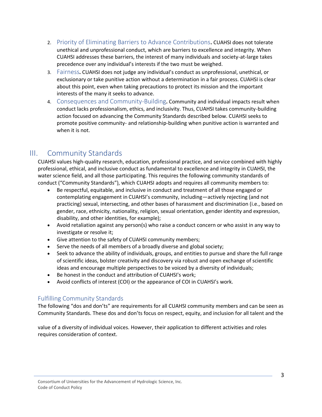- <span id="page-3-0"></span>2. Priority of Eliminating Barriers to Advance Contributions**.** CUAHSI does not tolerate unethical and unprofessional conduct, which are barriers to excellence and integrity. When CUAHSI addresses these barriers, the interest of many individuals and society-at-large takes precedence over any individual's interests if the two must be weighed.
- <span id="page-3-1"></span>3. Fairness**.** CUAHSI does not judge any individual's conduct as unprofessional, unethical, or exclusionary or take punitive action without a determination in a fair process. CUAHSI is clear about this point, even when taking precautions to protect its mission and the important interests of the many it seeks to advance.
- <span id="page-3-2"></span>4. Consequences and Community-Building**.** Community and individual impacts result when conduct lacks professionalism, ethics, and inclusivity. Thus, CUAHSI takes community-building action focused on advancing the Community Standards described below. CUAHSI seeks to promote positive community- and relationship-building when punitive action is warranted and when it is not.

## <span id="page-3-3"></span>III. Community Standards

CUAHSI values high-quality research, education, professional practice, and service combined with highly professional, ethical, and inclusive conduct as fundamental to excellence and integrity in CUAHSI, the water science field, and all those participating. This requires the following community standards of conduct ("Community Standards"), which CUAHSI adopts and requires all community members to:

- Be respectful, equitable, and inclusive in conduct and treatment of all those engaged or contemplating engagement in CUAHSI's community, including—actively rejecting (and not practicing) sexual, intersecting, and other bases of harassment and discrimination (i.e., based on gender, race, ethnicity, nationality, religion, sexual orientation, gender identity and expression, disability, and other identities, for example);
- Avoid retaliation against any person(s) who raise a conduct concern or who assist in any way to investigate or resolve it;
- Give attention to the safety of CUAHSI community members;
- Serve the needs of all members of a broadly diverse and global society;
- Seek to advance the ability of individuals, groups, and entities to pursue and share the full range of scientific ideas, bolster creativity and discovery via robust and open exchange of scientific ideas and encourage multiple perspectives to be voiced by a diversity of individuals;
- Be honest in the conduct and attribution of CUAHSI's work;
- Avoid conflicts of interest (COI) or the appearance of COI in CUAHSI's work.

## <span id="page-3-4"></span>Fulfilling Community Standards

The following "dos and don'ts" are requirements for all CUAHSI community members and can be seen as Community Standards. These dos and don'ts focus on respect, equity, and inclusion for all talent and the

value of a diversity of individual voices. However, their application to different activities and roles requires consideration of context.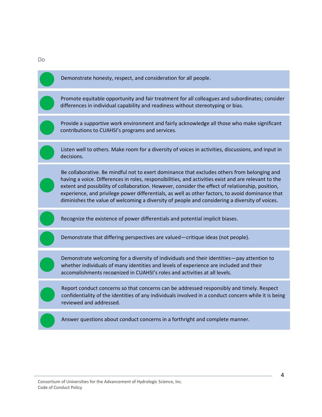

<span id="page-4-0"></span>Do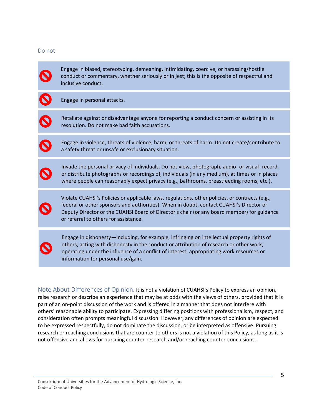#### <span id="page-5-0"></span>Do not

Engage in biased, stereotyping, demeaning, intimidating, coercive, or harassing/hostile conduct or commentary, whether seriously or in jest; this is the opposite of respectful and inclusive conduct.

Engage in personal attacks.

Retaliate against or disadvantage anyone for reporting a conduct concern or assisting in its resolution. Do not make bad faith accusations.

Engage in violence, threats of violence, harm, or threats of harm. Do not create/contribute to a safety threat or unsafe or exclusionary situation.

Invade the personal privacy of individuals. Do not view, photograph, audio- or visual- record, or distribute photographs or recordings of, individuals (in any medium), at times or in places where people can reasonably expect privacy (e.g., bathrooms, breastfeeding rooms, etc.).

Violate CUAHSI's Policies or applicable laws, regulations, other policies, or contracts (e.g., federal or other sponsors and authorities). When in doubt, contact CUAHSI's Director or Deputy Director or the CUAHSI Board of Director's chair (or any board member) for guidance or referral to others for assistance.

Engage in dishonesty—including, for example, infringing on intellectual property rights of others; acting with dishonesty in the conduct or attribution of research or other work; operating under the influence of a conflict of interest; appropriating work resources or information for personal use/gain.

<span id="page-5-1"></span>Note About Differences of Opinion**.** It is not a violation of CUAHSI's Policy to express an opinion, raise research or describe an experience that may be at odds with the views of others, provided that it is part of an on-point discussion of the work and is offered in a manner that does not interfere with others' reasonable ability to participate. Expressing differing positions with professionalism, respect, and consideration often prompts meaningful discussion. However, any differences of opinion are expected to be expressed respectfully, do not dominate the discussion, or be interpreted as offensive. Pursuing research or reaching conclusions that are counter to others is not a violation of this Policy, as long as it is not offensive and allows for pursuing counter-research and/or reaching counter-conclusions.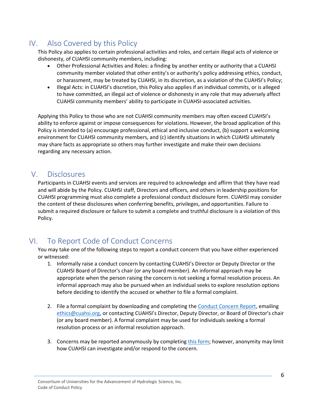## <span id="page-6-0"></span>IV. Also Covered by this Policy

This Policy also applies to certain professional activities and roles, and certain illegal acts of violence or dishonesty, of CUAHSI community members, including:

- Other Professional Activities and Roles: a finding by another entity or authority that a CUAHSI community member violated that other entity's or authority's policy addressing ethics, conduct, or harassment, may be treated by CUAHSI, in its discretion, as a violation of the CUAHSI's Policy;
- Illegal Acts: in CUAHSI's discretion, this Policy also applies if an individual commits, or is alleged to have committed, an illegal act of violence or dishonesty in any role that may adversely affect CUAHSI community members' ability to participate in CUAHSI-associated activities.

Applying this Policy to those who are not CUAHSI community members may often exceed CUAHSI's ability to enforce against or impose consequences for violations. However, the broad application of this Policy is intended to (a) encourage professional, ethical and inclusive conduct, (b) support a welcoming environment for CUAHSI community members, and (c) identify situations in which CUAHSI ultimately may share facts as appropriate so others may further investigate and make their own decisions regarding any necessary action.

## <span id="page-6-1"></span>V. Disclosures

Participants in CUAHSI events and services are required to acknowledge and affirm that they have read and will abide by the Policy. CUAHSI staff, Directors and officers, and others in leadership positions for CUAHSI programming must also complete a professional conduct disclosure form. CUAHSI may consider the content of these disclosures when conferring benefits, privileges, and opportunities. Failure to submit a required disclosure or failure to submit a complete and truthful disclosure is a violation of this Policy.

# <span id="page-6-2"></span>VI. To Report Code of Conduct Concerns

You may take one of the following steps to report a conduct concern that you have either experienced or witnessed:

- 1. Informally raise a conduct concern by contacting CUAHSI's Director or Deputy Director or the CUAHSI Board of Director's chair (or any board member). An informal approach may be appropriate when the person raising the concern is not seeking a formal resolution process. An informal approach may also be pursued when an individual seeks to explore resolution options before deciding to identify the accused or whether to file a formal complaint.
- 2. File a formal complaint by downloading and completing th[e Conduct Concern Report,](https://www.cuahsi.org/about/policies-and-conduct/conduct-concern-report) emailing [ethics@cuahsi.org](mailto:ethics@cuahsi.org), or contacting CUAHSI's Director, Deputy Director, or Board of Director's chair (or any board member). A formal complaint may be used for individuals seeking a formal resolution process or an informal resolution approach.
- 3. Concerns may be reported anonymously by completin[g this form;](https://form.jotform.com/commgr/coc-anonymous-form) however, anonymity may limit how CUAHSI can investigate and/or respond to the concern.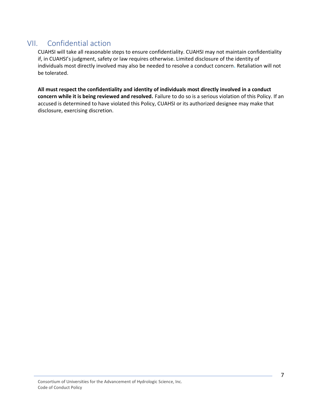# <span id="page-7-0"></span>VII. Confidential action

CUAHSI will take all reasonable steps to ensure confidentiality. CUAHSI may not maintain confidentiality if, in CUAHSI's judgment, safety or law requires otherwise. Limited disclosure of the identity of individuals most directly involved may also be needed to resolve a conduct concern**.** Retaliation will not be tolerated.

**All must respect the confidentiality and identity of individuals most directly involved in a conduct concern while it is being reviewed and resolved.** Failure to do so is a serious violation of this Policy. If an accused is determined to have violated this Policy, CUAHSI or its authorized designee may make that disclosure, exercising discretion.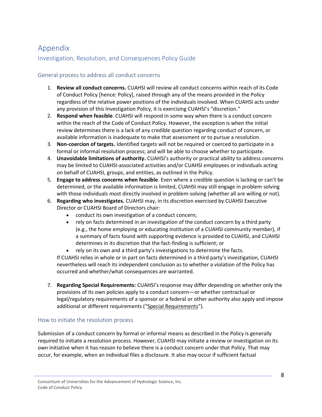# <span id="page-8-0"></span>Appendix

## <span id="page-8-1"></span>Investigation, Resolution, and Consequences Policy Guide

## <span id="page-8-2"></span>General process to address all conduct concerns

- 1. **Review all conduct concerns.** CUAHSI will review all conduct concerns within reach of its Code of Conduct Policy [hence: Policy], raised through any of the means provided in the Policy regardless of the relative power positions of the individuals involved. When CUAHSI acts under any provision of this Investigation Policy, it is exercising CUAHSI's "discretion."
- 2. **Respond when feasible**. CUAHSI will respond in some way when there is a conduct concern within the reach of the Code of Conduct Policy. However, the exception is when the initial review determines there is a lack of any credible question regarding conduct of concern, or available information is inadequate to make that assessment or to pursue a resolution.
- 3. **Non-coercion of targets.** Identified targets will not be required or coerced to participate in a formal or informal resolution process; and will be able to choose whether to participate.
- 4. **Unavoidable limitations of authority.** CUAHSI's authority or practical ability to address concerns may be limited to CUAHSI-associated activities and/or CUAHSI employees or individuals acting on behalf of CUAHSI, groups, and entities, as outlined in the Policy.
- 5. **Engage to address concerns when feasible**. Even where a credible question is lacking or can't be determined, or the available information is limited, CUAHSI may still engage in problem solving with those individuals most directly involved in problem-solving (whether all are willing or not).
- 6. **Regarding who investigates.** CUAHSI may, in its discretion exercised by CUAHSI Executive Director or CUAHSI Board of Directors chair:
	- conduct its own investigation of a conduct concern;
	- rely on facts determined in an investigation of the conduct concern by a third party (e.g., the home employing or educating institution of a CUAHSI community member), if a summary of facts found with supporting evidence is provided to CUAHSI, and CUAHSI determines in its discretion that the fact-finding is sufficient; or
	- rely on its own and a third party's investigations to determine the facts.

If CUAHSI relies in whole or in part on facts determined in a third party's investigation, CUAHSI nevertheless will reach its independent conclusion as to whether a violation of the Policy has occurred and whether/what consequences are warranted.

7. **Regarding Special Requirements:** CUAHSI's response may differ depending on whether only the provisions of its own policies apply to a conduct concern—or whether contractual or legal/regulatory requirements of a sponsor or a federal or other authority also apply and impose additional or different requirements ("Special Requirements").

## <span id="page-8-3"></span>How to initiate the resolution process

Submission of a conduct concern by formal or informal means as described in the Policy is generally required to initiate a resolution process. However, CUAHSI may initiate a review or investigation on its own initiative when it has reason to believe there is a conduct concern under that Policy. That may occur, for example, when an individual files a disclosure. It also may occur if sufficient factual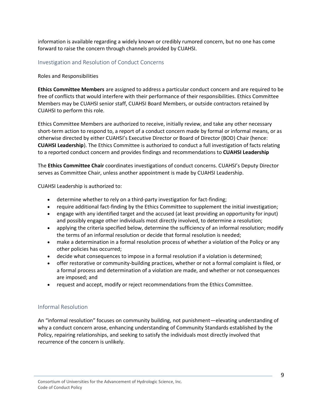information is available regarding a widely known or credibly rumored concern, but no one has come forward to raise the concern through channels provided by CUAHSI.

#### <span id="page-9-0"></span>Investigation and Resolution of Conduct Concerns

#### Roles and Responsibilities

**Ethics Committee Members** are assigned to address a particular conduct concern and are required to be free of conflicts that would interfere with their performance of their responsibilities. Ethics Committee Members may be CUAHSI senior staff, CUAHSI Board Members, or outside contractors retained by CUAHSI to perform this role.

Ethics Committee Members are authorized to receive, initially review, and take any other necessary short-term action to respond to, a report of a conduct concern made by formal or informal means, or as otherwise directed by either CUAHSI's Executive Director or Board of Director (BOD) Chair (hence: **CUAHSI Leadership**). The Ethics Committee is authorized to conduct a full investigation of facts relating to a reported conduct concern and provides findings and recommendations to **CUAHSI Leadership**

The **Ethics Committee Chair** coordinates investigations of conduct concerns. CUAHSI's Deputy Director serves as Committee Chair, unless another appointment is made by CUAHSI Leadership.

CUAHSI Leadership is authorized to:

- determine whether to rely on a third-party investigation for fact-finding;
- require additional fact-finding by the Ethics Committee to supplement the initial investigation;
- engage with any identified target and the accused (at least providing an opportunity for input) and possibly engage other individuals most directly involved, to determine a resolution;
- applying the criteria specified below, determine the sufficiency of an informal resolution; modify the terms of an informal resolution or decide that formal resolution is needed;
- make a determination in a formal resolution process of whether a violation of the Policy or any other policies has occurred;
- decide what consequences to impose in a formal resolution if a violation is determined;
- offer restorative or community-building practices, whether or not a formal complaint is filed, or a formal process and determination of a violation are made, and whether or not consequences are imposed; and
- request and accept, modify or reject recommendations from the Ethics Committee.

#### <span id="page-9-1"></span>Informal Resolution

An "informal resolution" focuses on community building, not punishment—elevating understanding of why a conduct concern arose, enhancing understanding of Community Standards established by the Policy, repairing relationships, and seeking to satisfy the individuals most directly involved that recurrence of the concern is unlikely.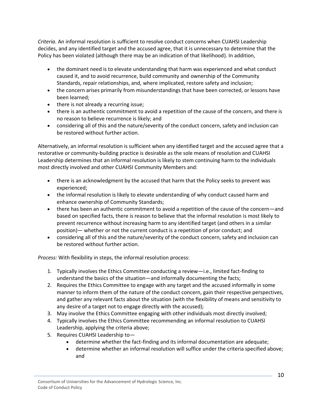*Criteria.* An informal resolution is sufficient to resolve conduct concerns when CUAHSI Leadership decides, and any identified target and the accused agree, that it is unnecessary to determine that the Policy has been violated (although there may be an indication of that likelihood). In addition,

- the dominant need is to elevate understanding that harm was experienced and what conduct caused it, and to avoid recurrence, build community and ownership of the Community Standards, repair relationships, and, where implicated, restore safety and inclusion;
- the concern arises primarily from misunderstandings that have been corrected, or lessons have been learned;
- there is not already a recurring issue;
- there is an authentic commitment to avoid a repetition of the cause of the concern, and there is no reason to believe recurrence is likely; and
- considering all of this and the nature/severity of the conduct concern, safety and inclusion can be restored without further action.

Alternatively, an informal resolution is sufficient when any identified target and the accused agree that a restorative or community-building practice is desirable as the sole means of resolution and CUAHSI Leadership determines that an informal resolution is likely to stem continuing harm to the individuals most directly involved and other CUAHSI Community Members and:

- there is an acknowledgment by the accused that harm that the Policy seeks to prevent was experienced;
- the informal resolution is likely to elevate understanding of why conduct caused harm and enhance ownership of Community Standards;
- there has been an authentic commitment to avoid a repetition of the cause of the concern—and based on specified facts, there is reason to believe that the informal resolution is most likely to prevent recurrence without increasing harm to any identified target (and others in a similar position)— whether or not the current conduct is a repetition of prior conduct; and
- considering all of this and the nature/severity of the conduct concern, safety and inclusion can be restored without further action.

*Process:* With flexibility in steps, the informal resolution process:

- 1. Typically involves the Ethics Committee conducting a review—i.e., limited fact-finding to understand the basics of the situation—and informally documenting the facts;
- 2. Requires the Ethics Committee to engage with any target and the accused informally in some manner to inform them of the nature of the conduct concern, gain their respective perspectives, and gather any relevant facts about the situation (with the flexibility of means and sensitivity to any desire of a target not to engage directly with the accused);
- 3. May involve the Ethics Committee engaging with other individuals most directly involved;
- 4. Typically involves the Ethics Committee recommending an informal resolution to CUAHSI Leadership, applying the criteria above;
- 5. Requires CUAHSI Leadership to—
	- determine whether the fact-finding and its informal documentation are adequate;
	- determine whether an informal resolution will suffice under the criteria specified above; and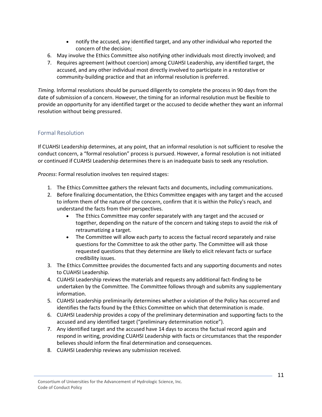- notify the accused, any identified target, and any other individual who reported the concern of the decision;
- 6. May involve the Ethics Committee also notifying other individuals most directly involved; and
- 7. Requires agreement (without coercion) among CUAHSI Leadership, any identified target, the accused, and any other individual most directly involved to participate in a restorative or community-building practice and that an informal resolution is preferred.

*Timing.* Informal resolutions should be pursued diligently to complete the process in 90 days from the date of submission of a concern. However, the timing for an informal resolution must be flexible to provide an opportunity for any identified target or the accused to decide whether they want an informal resolution without being pressured.

## <span id="page-11-0"></span>Formal Resolution

If CUAHSI Leadership determines, at any point, that an informal resolution is not sufficient to resolve the conduct concern, a "formal resolution" process is pursued. However, a formal resolution is not initiated or continued if CUAHSI Leadership determines there is an inadequate basis to seek any resolution.

*Process*: Formal resolution involves ten required stages:

- 1. The Ethics Committee gathers the relevant facts and documents, including communications.
- 2. Before finalizing documentation, the Ethics Committee engages with any target and the accused to inform them of the nature of the concern, confirm that it is within the Policy's reach, and understand the facts from their perspectives.
	- The Ethics Committee may confer separately with any target and the accused or together, depending on the nature of the concern and taking steps to avoid the risk of retraumatizing a target.
	- The Committee will allow each party to access the factual record separately and raise questions for the Committee to ask the other party. The Committee will ask those requested questions that they determine are likely to elicit relevant facts or surface credibility issues.
- 3. The Ethics Committee provides the documented facts and any supporting documents and notes to CUAHSI Leadership.
- 4. CUAHSI Leadership reviews the materials and requests any additional fact-finding to be undertaken by the Committee. The Committee follows through and submits any supplementary information.
- 5. CUAHSI Leadership preliminarily determines whether a violation of the Policy has occurred and identifies the facts found by the Ethics Committee on which that determination is made.
- 6. CUAHSI Leadership provides a copy of the preliminary determination and supporting facts to the accused and any identified target ("preliminary determination notice").
- 7. Any identified target and the accused have 14 days to access the factual record again and respond in writing, providing CUAHSI Leadership with facts or circumstances that the responder believes should inform the final determination and consequences.
- 8. CUAHSI Leadership reviews any submission received.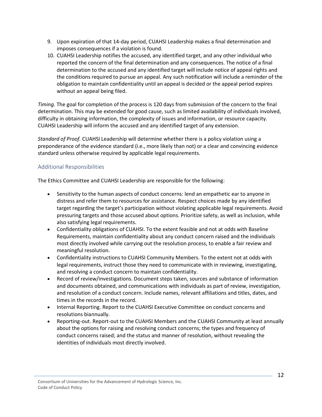- 9. Upon expiration of that 14-day period, CUAHSI Leadership makes a final determination and imposes consequences if a violation is found.
- 10. CUAHSI Leadership notifies the accused, any identified target, and any other individual who reported the concern of the final determination and any consequences. The notice of a final determination to the accused and any identified target will include notice of appeal rights and the conditions required to pursue an appeal. Any such notification will include a reminder of the obligation to maintain confidentiality until an appeal is decided or the appeal period expires without an appeal being filed.

*Timing.* The goal for completion of the process is 120 days from submission of the concern to the final determination. This may be extended for good cause, such as limited availability of individuals involved, difficulty in obtaining information, the complexity of issues and information, or resource capacity. CUAHSI Leadership will inform the accused and any identified target of any extension.

*Standard of Proof.* CUAHSI Leadership will determine whether there is a policy violation using a preponderance of the evidence standard (i.e., more likely than not) or a clear and convincing evidence standard unless otherwise required by applicable legal requirements.

#### <span id="page-12-0"></span>Additional Responsibilities

The Ethics Committee and CUAHSI Leadership are responsible for the following:

- Sensitivity to the human aspects of conduct concerns: lend an empathetic ear to anyone in distress and refer them to resources for assistance. Respect choices made by any identified target regarding the target's participation without violating applicable legal requirements. Avoid pressuring targets and those accused about options. Prioritize safety, as well as inclusion, while also satisfying legal requirements.
- Confidentiality obligations of CUAHSI. To the extent feasible and not at odds with Baseline Requirements, maintain confidentiality about any conduct concern raised and the individuals most directly involved while carrying out the resolution process, to enable a fair review and meaningful resolution.
- Confidentiality instructions to CUAHSI Community Members. To the extent not at odds with legal requirements, instruct those they need to communicate with in reviewing, investigating, and resolving a conduct concern to maintain confidentiality.
- Record of review/investigations. Document steps taken, sources and substance of information and documents obtained, and communications with individuals as part of review, investigation, and resolution of a conduct concern. Include names, relevant affiliations and titles, dates, and times in the records in the record.
- Internal Reporting. Report to the CUAHSI Executive Committee on conduct concerns and resolutions biannually.
- Reporting-out. Report-out to the CUAHSI Members and the CUAHSI Community at least annually about the options for raising and resolving conduct concerns; the types and frequency of conduct concerns raised; and the status and manner of resolution, without revealing the identities of individuals most directly involved.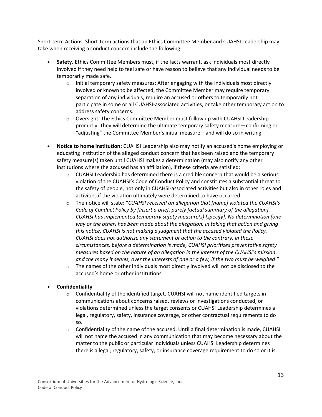Short-term Actions. Short-term actions that an Ethics Committee Member and CUAHSI Leadership may take when receiving a conduct concern include the following:

- **Safety.** Ethics Committee Members must, if the facts warrant, ask individuals most directly involved if they need help to feel safe or have reason to believe that any individual needs to be temporarily made safe.
	- $\circ$  Initial temporary safety measures: After engaging with the individuals most directly involved or known to be affected, the Committee Member may require temporary separation of any individuals, require an accused or others to temporarily not participate in some or all CUAHSI-associated activities, or take other temporary action to address safety concerns.
	- o Oversight: The Ethics Committee Member must follow up with CUAHSI Leadership promptly. They will determine the ultimate temporary safety measure—confirming or "adjusting" the Committee Member's initial measure—and will do so in writing.
- **Notice to home institution:** CUAHSI Leadership also may notify an accused's home employing or educating institution of the alleged conduct concern that has been raised and the temporary safety measure(s) taken until CUAHSI makes a determination (may also notify any other institutions where the accused has an affiliation), if these criteria are satisfied:
	- $\circ$  CUAHSI Leadership has determined there is a credible concern that would be a serious violation of the CUAHSI's Code of Conduct Policy and constitutes a substantial threat to the safety of people, not only in CUAHSI-associated activities but also in other roles and activities if the violation ultimately were determined to have occurred.
	- o The notice will state: "*CUAHSI received an allegation that [name] violated the CUAHSI's Code of Conduct Policy by [Insert a brief, purely factual summary of the allegation]. CUAHSI has implemented temporary safety measure(s) [specify]. No determination (one way or the other) has been made about the allegation. In taking that action and giving this notice, CUAHSI is not making a judgment that the accused violated the Policy. CUAHSI does not authorize any statement or action to the contrary. In these circumstances, before a determination is made, CUAHSI prioritizes preventative safety measures based on the nature of an allegation in the interest of the CUAHSI's mission and the many it serves, over the interests of one or a few, if the two must be weighed*."
	- $\circ$  The names of the other individuals most directly involved will not be disclosed to the accused's home or other institutions.
- **Confidentiality**
	- $\circ$  Confidentiality of the identified target. CUAHSI will not name identified targets in communications about concerns raised, reviews or investigations conducted, or violations determined unless the target consents or CUAHSI Leadership determines a legal, regulatory, safety, insurance coverage, or other contractual requirements to do so.
	- $\circ$  Confidentiality of the name of the accused. Until a final determination is made, CUAHSI will not name the accused in any communication that may become necessary about the matter to the public or particular individuals unless CUAHSI Leadership determines there is a legal, regulatory, safety, or insurance coverage requirement to do so or it is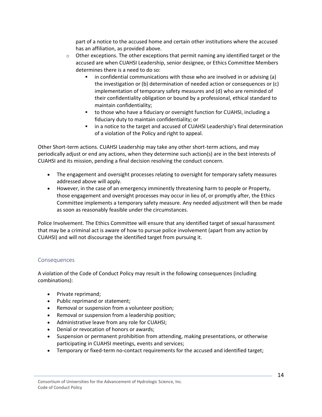part of a notice to the accused home and certain other institutions where the accused has an affiliation, as provided above.

- $\circ$  Other exceptions. The other exceptions that permit naming any identified target or the accused are when CUAHSI Leadership, senior designee, or Ethics Committee Members determines there is a need to do so:
	- in confidential communications with those who are involved in or advising (a) the investigation or (b) determination of needed action or consequences or (c) implementation of temporary safety measures and (d) who are reminded of their confidentiality obligation or bound by a professional, ethical standard to maintain confidentiality;
	- to those who have a fiduciary or oversight function for CUAHSI, including a fiduciary duty to maintain confidentiality; or
	- in a notice to the target and accused of CUAHSI Leadership's final determination of a violation of the Policy and right to appeal.

Other Short-term actions. CUAHSI Leadership may take any other short-term actions, and may periodically adjust or end any actions, when they determine such action(s) are in the best interests of CUAHSI and its mission, pending a final decision resolving the conduct concern.

- The engagement and oversight processes relating to oversight for temporary safety measures addressed above will apply.
- However, in the case of an emergency imminently threatening harm to people or Property, those engagement and oversight processes may occur in lieu of, or promptly after, the Ethics Committee implements a temporary safety measure. Any needed adjustment will then be made as soon as reasonably feasible under the circumstances.

Police Involvement. The Ethics Committee will ensure that any identified target of sexual harassment that may be a criminal act is aware of how to pursue police involvement (apart from any action by CUAHSI) and will not discourage the identified target from pursuing it.

#### <span id="page-14-0"></span>Consequences

A violation of the Code of Conduct Policy may result in the following consequences (including combinations):

- Private reprimand;
- Public reprimand or statement;
- Removal or suspension from a volunteer position;
- Removal or suspension from a leadership position;
- Administrative leave from any role for CUAHSI;
- Denial or revocation of honors or awards;
- Suspension or permanent prohibition from attending, making presentations, or otherwise participating in CUAHSI meetings, events and services;
- Temporary or fixed-term no-contact requirements for the accused and identified target;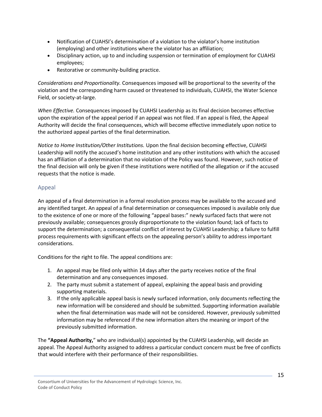- Notification of CUAHSI's determination of a violation to the violator's home institution (employing) and other institutions where the violator has an affiliation;
- Disciplinary action, up to and including suspension or termination of employment for CUAHSI employees;
- Restorative or community-building practice.

*Considerations and Proportionality.* Consequences imposed will be proportional to the severity of the violation and the corresponding harm caused or threatened to individuals, CUAHSI, the Water Science Field, or society-at-large.

*When Effective.* Consequences imposed by CUAHSI Leadership as its final decision becomes effective upon the expiration of the appeal period if an appeal was not filed. If an appeal is filed, the Appeal Authority will decide the final consequences, which will become effective immediately upon notice to the authorized appeal parties of the final determination.

*Notice to Home Institution/Other Institutions.* Upon the final decision becoming effective, CUAHSI Leadership will notify the accused's home institution and any other institutions with which the accused has an affiliation of a determination that no violation of the Policy was found. However, such notice of the final decision will only be given if these institutions were notified of the allegation or if the accused requests that the notice is made.

## <span id="page-15-0"></span>Appeal

An appeal of a final determination in a formal resolution process may be available to the accused and any identified target. An appeal of a final determination or consequences imposed is available only due to the existence of one or more of the following "appeal bases:" newly surfaced facts that were not previously available; consequences grossly disproportionate to the violation found; lack of facts to support the determination; a consequential conflict of interest by CUAHSI Leadership; a failure to fulfill process requirements with significant effects on the appealing person's ability to address important considerations.

Conditions for the right to file. The appeal conditions are:

- 1. An appeal may be filed only within 14 days after the party receives notice of the final determination and any consequences imposed.
- 2. The party must submit a statement of appeal, explaining the appeal basis and providing supporting materials.
- 3. If the only applicable appeal basis is newly surfaced information, only documents reflecting the new information will be considered and should be submitted. Supporting information available when the final determination was made will not be considered. However, previously submitted information may be referenced if the new information alters the meaning or import of the previously submitted information.

The **"Appeal Authority,**" who are individual(s) appointed by the CUAHSI Leadership, will decide an appeal. The Appeal Authority assigned to address a particular conduct concern must be free of conflicts that would interfere with their performance of their responsibilities.